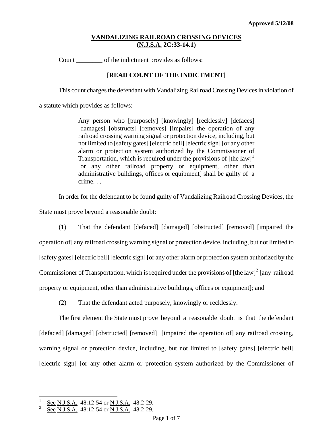Count \_\_\_\_\_\_\_\_ of the indictment provides as follows:

## **[READ COUNT OF THE INDICTMENT]**

This count charges the defendant with Vandalizing Railroad Crossing Devices in violation of

a statute which provides as follows:

Any person who [purposely] [knowingly] [recklessly] [defaces] [damages] [obstructs] [removes] [impairs] the operation of any railroad crossing warning signal or protection device, including, but not limited to [safety gates] [electric bell] [electric sign] [or any other alarm or protection system authorized by the Commissioner of Transportation, which is required under the provisions of  $[the law]$ <sup>[1](#page-0-0)</sup> [or any other railroad property or equipment, other than administrative buildings, offices or equipment] shall be guilty of a crime. . .

In order for the defendant to be found guilty of Vandalizing Railroad Crossing Devices, the

State must prove beyond a reasonable doubt:

(1) That the defendant [defaced] [damaged] [obstructed] [removed] [impaired the operation of] any railroad crossing warning signal or protection device, including, but not limited to [safety gates] [electric bell] [electric sign] [or any other alarm or protection system authorized by the

Commissioner of Transportation, which is required under the provisions of [the law]<sup>[2](#page-0-1)</sup> [any railroad

property or equipment, other than administrative buildings, offices or equipment]; and

(2) That the defendant acted purposely, knowingly or recklessly.

The first element the State must prove beyond a reasonable doubt is that the defendant [defaced] [damaged] [obstructed] [removed] [impaired the operation of] any railroad crossing, warning signal or protection device, including, but not limited to [safety gates] [electric bell] [electric sign] [or any other alarm or protection system authorized by the Commissioner of

<sup>1</sup> See N.J.S.A. 48:12-54 or N.J.S.A. 48:2-29.

<span id="page-0-1"></span><span id="page-0-0"></span><sup>2</sup> See N.J.S.A. 48:12-54 or N.J.S.A. 48:2-29.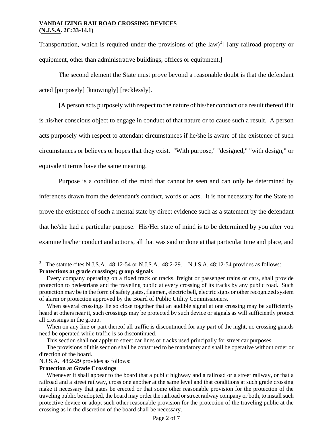Transportation, which is required under the provisions of (the law)<sup>[3](#page-1-0)</sup>] [any railroad property or equipment, other than administrative buildings, offices or equipment.]

The second element the State must prove beyond a reasonable doubt is that the defendant acted [purposely] [knowingly] [recklessly].

[A person acts purposely with respect to the nature of his/her conduct or a result thereof if it is his/her conscious object to engage in conduct of that nature or to cause such a result. A person acts purposely with respect to attendant circumstances if he/she is aware of the existence of such circumstances or believes or hopes that they exist. "With purpose," "designed," "with design," or equivalent terms have the same meaning.

Purpose is a condition of the mind that cannot be seen and can only be determined by inferences drawn from the defendant's conduct, words or acts. It is not necessary for the State to prove the existence of such a mental state by direct evidence such as a statement by the defendant that he/she had a particular purpose. His/Her state of mind is to be determined by you after you examine his/her conduct and actions, all that was said or done at that particular time and place, and

# **Protection at Grade Crossings**

<span id="page-1-0"></span>i<br>L 3 The statute cites N.J.S.A. 48:12-54 or N.J.S.A. 48:2-29. N.J.S.A. 48:12-54 provides as follows: **Protections at grade crossings; group signals** 

Every company operating on a fixed track or tracks, freight or passenger trains or cars, shall provide protection to pedestrians and the traveling public at every crossing of its tracks by any public road. Such protection may be in the form of safety gates, flagmen, electric bell, electric signs or other recognized system of alarm or protection approved by the Board of Public Utility Commissioners.

When several crossings lie so close together that an audible signal at one crossing may be sufficiently heard at others near it, such crossings may be protected by such device or signals as will sufficiently protect all crossings in the group.

When on any line or part thereof all traffic is discontinued for any part of the night, no crossing guards need be operated while traffic is so discontinued.

This section shall not apply to street car lines or tracks used principally for street car purposes.

The provisions of this section shall be construed to be mandatory and shall be operative without order or direction of the board.

N.J.S.A. 48:2-29 provides as follows:

Whenever it shall appear to the board that a public highway and a railroad or a street railway, or that a railroad and a street railway, cross one another at the same level and that conditions at such grade crossing make it necessary that gates be erected or that some other reasonable provision for the protection of the traveling public be adopted, the board may order the railroad or street railway company or both, to install such protective device or adopt such other reasonable provision for the protection of the traveling public at the crossing as in the discretion of the board shall be necessary.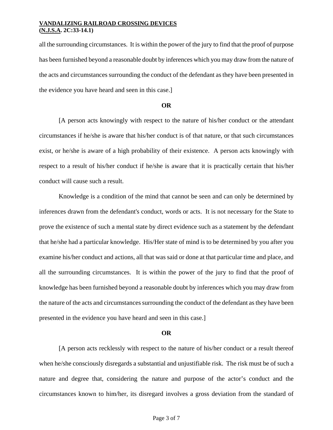all the surrounding circumstances. It is within the power of the jury to find that the proof of purpose has been furnished beyond a reasonable doubt by inferences which you may draw from the nature of the acts and circumstances surrounding the conduct of the defendant as they have been presented in the evidence you have heard and seen in this case.]

### **OR**

 [A person acts knowingly with respect to the nature of his/her conduct or the attendant circumstances if he/she is aware that his/her conduct is of that nature, or that such circumstances exist, or he/she is aware of a high probability of their existence. A person acts knowingly with respect to a result of his/her conduct if he/she is aware that it is practically certain that his/her conduct will cause such a result.

Knowledge is a condition of the mind that cannot be seen and can only be determined by inferences drawn from the defendant's conduct, words or acts. It is not necessary for the State to prove the existence of such a mental state by direct evidence such as a statement by the defendant that he/she had a particular knowledge. His/Her state of mind is to be determined by you after you examine his/her conduct and actions, all that was said or done at that particular time and place, and all the surrounding circumstances. It is within the power of the jury to find that the proof of knowledge has been furnished beyond a reasonable doubt by inferences which you may draw from the nature of the acts and circumstances surrounding the conduct of the defendant as they have been presented in the evidence you have heard and seen in this case.]

#### **OR**

[A person acts recklessly with respect to the nature of his/her conduct or a result thereof when he/she consciously disregards a substantial and unjustifiable risk. The risk must be of such a nature and degree that, considering the nature and purpose of the actor's conduct and the circumstances known to him/her, its disregard involves a gross deviation from the standard of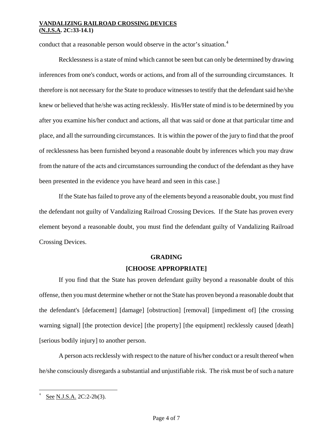conduct that a reasonable person would observe in the actor's situation.<sup>[4](#page-3-0)</sup>

Recklessness is a state of mind which cannot be seen but can only be determined by drawing inferences from one's conduct, words or actions, and from all of the surrounding circumstances. It therefore is not necessary for the State to produce witnesses to testify that the defendant said he/she knew or believed that he/she was acting recklessly. His/Her state of mind is to be determined by you after you examine his/her conduct and actions, all that was said or done at that particular time and place, and all the surrounding circumstances. It is within the power of the jury to find that the proof of recklessness has been furnished beyond a reasonable doubt by inferences which you may draw from the nature of the acts and circumstances surrounding the conduct of the defendant as they have been presented in the evidence you have heard and seen in this case.]

If the State has failed to prove any of the elements beyond a reasonable doubt, you must find the defendant not guilty of Vandalizing Railroad Crossing Devices. If the State has proven every element beyond a reasonable doubt, you must find the defendant guilty of Vandalizing Railroad Crossing Devices.

#### **GRADING**

## **[CHOOSE APPROPRIATE]**

If you find that the State has proven defendant guilty beyond a reasonable doubt of this offense, then you must determine whether or not the State has proven beyond a reasonable doubt that the defendant's [defacement] [damage] [obstruction] [removal] [impediment of] [the crossing warning signal] [the protection device] [the property] [the equipment] recklessly caused [death] [serious bodily injury] to another person.

A person acts recklessly with respect to the nature of his/her conduct or a result thereof when he/she consciously disregards a substantial and unjustifiable risk. The risk must be of such a nature

<span id="page-3-0"></span><sup>4</sup> See N.J.S.A. 2C:2-2b(3).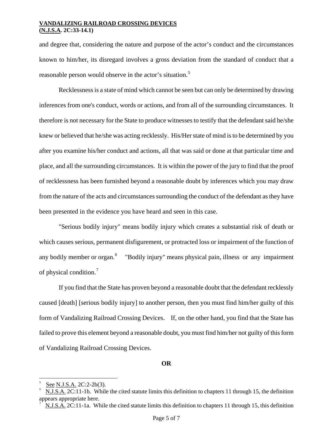and degree that, considering the nature and purpose of the actor's conduct and the circumstances known to him/her, its disregard involves a gross deviation from the standard of conduct that a reasonable person would observe in the actor's situation.<sup>[5](#page-4-0)</sup>

Recklessness is a state of mind which cannot be seen but can only be determined by drawing inferences from one's conduct, words or actions, and from all of the surrounding circumstances. It therefore is not necessary for the State to produce witnesses to testify that the defendant said he/she knew or believed that he/she was acting recklessly. His/Her state of mind is to be determined by you after you examine his/her conduct and actions, all that was said or done at that particular time and place, and all the surrounding circumstances. It is within the power of the jury to find that the proof of recklessness has been furnished beyond a reasonable doubt by inferences which you may draw from the nature of the acts and circumstances surrounding the conduct of the defendant as they have been presented in the evidence you have heard and seen in this case.

"Serious bodily injury" means bodily injury which creates a substantial risk of death or which causes serious, permanent disfigurement, or protracted loss or impairment of the function of any bodily member or organ.<sup>[6](#page-4-1)</sup> "Bodily injury" means physical pain, illness or any impairment of physical condition.[7](#page-4-2)

If you find that the State has proven beyond a reasonable doubt that the defendant recklessly caused [death] [serious bodily injury] to another person, then you must find him/her guilty of this form of Vandalizing Railroad Crossing Devices. If, on the other hand, you find that the State has failed to prove this element beyond a reasonable doubt, you must find him/her not guilty of this form of Vandalizing Railroad Crossing Devices.

#### **OR**

i<br>L

<span id="page-4-0"></span><sup>5</sup> See N.J.S.A. 2C:2-2b(3).

<span id="page-4-1"></span>N.J.S.A. 2C:11-1b. While the cited statute limits this definition to chapters 11 through 15, the definition appears appropriate here.

<span id="page-4-2"></span><sup>7</sup> N.J.S.A. 2C:11-1a. While the cited statute limits this definition to chapters 11 through 15, this definition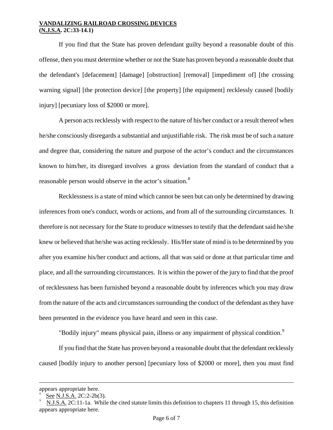If you find that the State has proven defendant guilty beyond a reasonable doubt of this offense, then you must determine whether or not the State has proven beyond a reasonable doubt that the defendant's [defacement] [damage] [obstruction] [removal] [impediment of] [the crossing warning signal] [the protection device] [the property] [the equipment] recklessly caused [bodily injury] [pecuniary loss of \$2000 or more].

A person acts recklessly with respect to the nature of his/her conduct or a result thereof when he/she consciously disregards a substantial and unjustifiable risk. The risk must be of such a nature and degree that, considering the nature and purpose of the actor's conduct and the circumstances known to him/her, its disregard involves a gross deviation from the standard of conduct that a reasonable person would observe in the actor's situation.<sup>[8](#page-5-0)</sup>

Recklessness is a state of mind which cannot be seen but can only be determined by drawing inferences from one's conduct, words or actions, and from all of the surrounding circumstances. It therefore is not necessary for the State to produce witnesses to testify that the defendant said he/she knew or believed that he/she was acting recklessly. His/Her state of mind is to be determined by you after you examine his/her conduct and actions, all that was said or done at that particular time and place, and all the surrounding circumstances. It is within the power of the jury to find that the proof of recklessness has been furnished beyond a reasonable doubt by inferences which you may draw from the nature of the acts and circumstances surrounding the conduct of the defendant as they have been presented in the evidence you have heard and seen in this case.

"Bodily injury" means physical pain, illness or any impairment of physical condition.<sup>[9](#page-5-1)</sup>

If you find that the State has proven beyond a reasonable doubt that the defendant recklessly caused [bodily injury to another person] [pecuniary loss of \$2000 or more], then you must find

appears appropriate here.

<span id="page-5-0"></span><sup>8</sup> See N.J.S.A. 2C:2-2b(3).

<span id="page-5-1"></span>N.J.S.A. 2C:11-1a. While the cited statute limits this definition to chapters 11 through 15, this definition appears appropriate here.